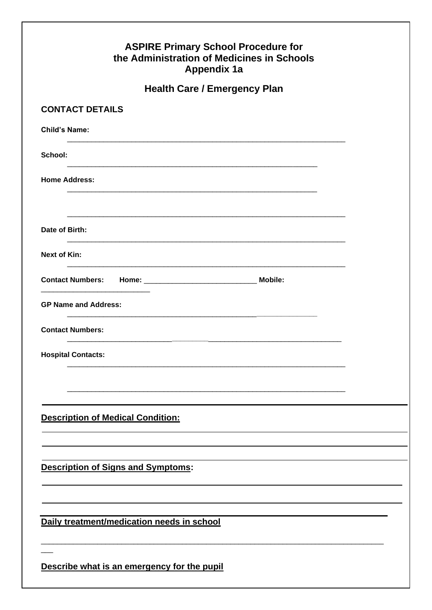| <b>ASPIRE Primary School Procedure for</b><br>the Administration of Medicines in Schools<br><b>Appendix 1a</b> |  |
|----------------------------------------------------------------------------------------------------------------|--|
| <b>Health Care / Emergency Plan</b>                                                                            |  |
| <b>CONTACT DETAILS</b>                                                                                         |  |
| <b>Child's Name:</b>                                                                                           |  |
| School:                                                                                                        |  |
| <b>Home Address:</b>                                                                                           |  |
| Date of Birth:                                                                                                 |  |
| <b>Next of Kin:</b>                                                                                            |  |
|                                                                                                                |  |
| <b>GP Name and Address:</b>                                                                                    |  |
| <b>Contact Numbers:</b>                                                                                        |  |
| <b>Hospital Contacts:</b>                                                                                      |  |
|                                                                                                                |  |
|                                                                                                                |  |
| <b>Description of Medical Condition:</b>                                                                       |  |
|                                                                                                                |  |
| <b>Description of Signs and Symptoms:</b>                                                                      |  |
|                                                                                                                |  |
| Daily treatment/medication needs in school                                                                     |  |
| Describe what is an emergency for the pupil                                                                    |  |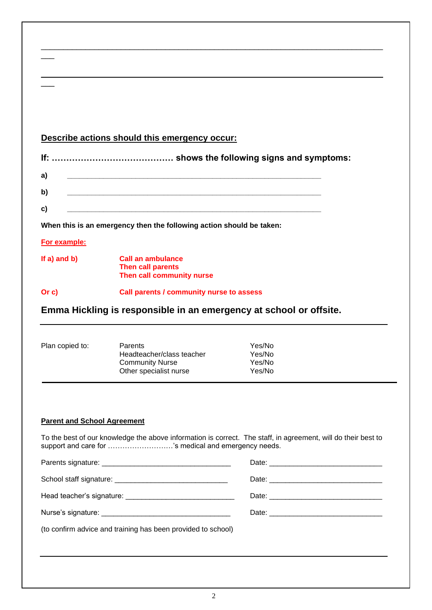|                                    | Describe actions should this emergency occur:                                                                                                                         |                                      |  |
|------------------------------------|-----------------------------------------------------------------------------------------------------------------------------------------------------------------------|--------------------------------------|--|
|                                    |                                                                                                                                                                       |                                      |  |
| a)                                 | <u> 1980 - Jan James James Barbara, martin da basar da basar da basar da basar da basar da basar da basar da basa</u>                                                 |                                      |  |
| b)                                 | <u> 1980 - Jan Barat, margaret amerikan bahasa dan berasal dalam berasal dalam berasal dalam bahasa dalam berasa</u>                                                  |                                      |  |
| c)                                 |                                                                                                                                                                       |                                      |  |
|                                    | When this is an emergency then the following action should be taken:                                                                                                  |                                      |  |
| For example:                       |                                                                                                                                                                       |                                      |  |
| If $a)$ and $b)$                   | <b>Call an ambulance</b><br>Then call parents                                                                                                                         |                                      |  |
|                                    | Then call community nurse                                                                                                                                             |                                      |  |
|                                    | Call parents / community nurse to assess                                                                                                                              |                                      |  |
|                                    | Emma Hickling is responsible in an emergency at school or offsite.                                                                                                    |                                      |  |
| Or c)<br>Plan copied to:           | Parents<br>Headteacher/class teacher<br><b>Community Nurse</b><br>Other specialist nurse                                                                              | Yes/No<br>Yes/No<br>Yes/No<br>Yes/No |  |
| <b>Parent and School Agreement</b> |                                                                                                                                                                       |                                      |  |
|                                    | To the best of our knowledge the above information is correct. The staff, in agreement, will do their best to<br>support and care for 's medical and emergency needs. |                                      |  |
|                                    |                                                                                                                                                                       |                                      |  |
|                                    |                                                                                                                                                                       |                                      |  |
|                                    |                                                                                                                                                                       |                                      |  |
|                                    |                                                                                                                                                                       |                                      |  |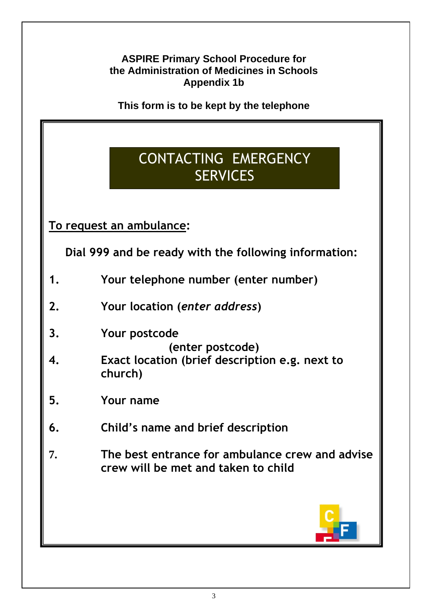**This form is to be kept by the telephone**

# CONTACTING EMERGENCY **SERVICES**

**To request an ambulance:**

**Dial 999 and be ready with the following information:**

- **1. Your telephone number (enter number)**
- **2. Your location (***enter address***)**
- **3. Your postcode**
	- **(enter postcode)**
- **4. Exact location (brief description e.g. next to church)**
- **5. Your name**
- **6. Child's name and brief description**
- **7. The best entrance for ambulance crew and advise crew will be met and taken to child**

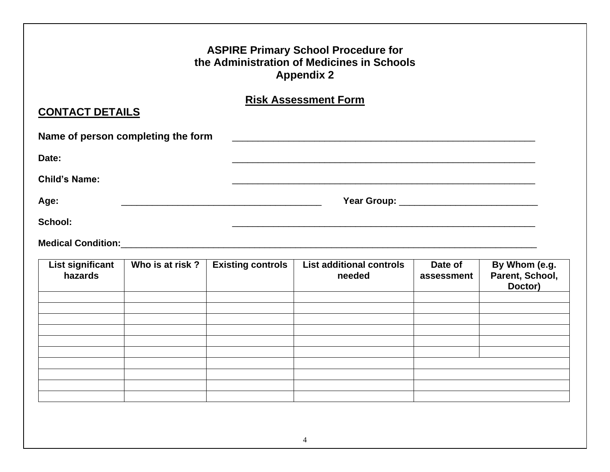|                                    |                                    |                          | <b>Risk Assessment Form</b>                                                                                                                                                                                                    |                       |                                             |
|------------------------------------|------------------------------------|--------------------------|--------------------------------------------------------------------------------------------------------------------------------------------------------------------------------------------------------------------------------|-----------------------|---------------------------------------------|
| <b>CONTACT DETAILS</b>             |                                    |                          |                                                                                                                                                                                                                                |                       |                                             |
|                                    | Name of person completing the form |                          |                                                                                                                                                                                                                                |                       |                                             |
| Date:                              |                                    |                          |                                                                                                                                                                                                                                |                       |                                             |
| <b>Child's Name:</b>               |                                    |                          |                                                                                                                                                                                                                                |                       |                                             |
| Age:                               |                                    |                          |                                                                                                                                                                                                                                |                       |                                             |
|                                    |                                    |                          |                                                                                                                                                                                                                                |                       |                                             |
| School:                            |                                    |                          |                                                                                                                                                                                                                                |                       |                                             |
|                                    |                                    |                          | Medical Condition: Medical Condition: Material Accounts and Accounts and Accounts and Accounts and Accounts and Accounts and Accounts and Accounts and Accounts and Accounts and Accounts and Accounts and Accounts and Accoun |                       |                                             |
| <b>List significant</b><br>hazards | Who is at risk?                    | <b>Existing controls</b> | <b>List additional controls</b><br>needed                                                                                                                                                                                      | Date of<br>assessment | By Whom (e.g.<br>Parent, School,<br>Doctor) |
|                                    |                                    |                          |                                                                                                                                                                                                                                |                       |                                             |
|                                    |                                    |                          |                                                                                                                                                                                                                                |                       |                                             |
|                                    |                                    |                          |                                                                                                                                                                                                                                |                       |                                             |
|                                    |                                    |                          |                                                                                                                                                                                                                                |                       |                                             |

4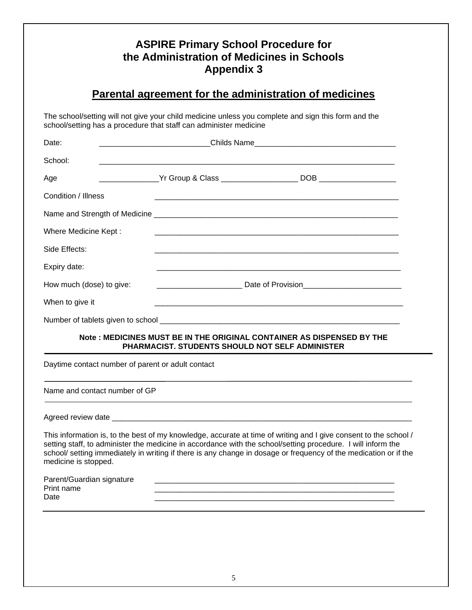| Parental agreement for the administration of medicines |                                                                   |                                                                                                                                                                                                                                                                                                                                                      |  |
|--------------------------------------------------------|-------------------------------------------------------------------|------------------------------------------------------------------------------------------------------------------------------------------------------------------------------------------------------------------------------------------------------------------------------------------------------------------------------------------------------|--|
|                                                        | school/setting has a procedure that staff can administer medicine | The school/setting will not give your child medicine unless you complete and sign this form and the                                                                                                                                                                                                                                                  |  |
| Date:                                                  |                                                                   |                                                                                                                                                                                                                                                                                                                                                      |  |
| School:                                                |                                                                   |                                                                                                                                                                                                                                                                                                                                                      |  |
| Age                                                    |                                                                   |                                                                                                                                                                                                                                                                                                                                                      |  |
| Condition / Illness                                    |                                                                   |                                                                                                                                                                                                                                                                                                                                                      |  |
|                                                        |                                                                   |                                                                                                                                                                                                                                                                                                                                                      |  |
| Where Medicine Kept:                                   |                                                                   |                                                                                                                                                                                                                                                                                                                                                      |  |
| Side Effects:                                          |                                                                   |                                                                                                                                                                                                                                                                                                                                                      |  |
| Expiry date:                                           |                                                                   |                                                                                                                                                                                                                                                                                                                                                      |  |
| How much (dose) to give:                               |                                                                   |                                                                                                                                                                                                                                                                                                                                                      |  |
| When to give it                                        |                                                                   |                                                                                                                                                                                                                                                                                                                                                      |  |
|                                                        |                                                                   |                                                                                                                                                                                                                                                                                                                                                      |  |
|                                                        | PHARMACIST. STUDENTS SHOULD NOT SELF ADMINISTER                   | Note : MEDICINES MUST BE IN THE ORIGINAL CONTAINER AS DISPENSED BY THE                                                                                                                                                                                                                                                                               |  |
| Daytime contact number of parent or adult contact      |                                                                   |                                                                                                                                                                                                                                                                                                                                                      |  |
| Name and contact number of GP                          |                                                                   |                                                                                                                                                                                                                                                                                                                                                      |  |
|                                                        |                                                                   |                                                                                                                                                                                                                                                                                                                                                      |  |
| medicine is stopped.                                   |                                                                   | This information is, to the best of my knowledge, accurate at time of writing and I give consent to the school /<br>setting staff, to administer the medicine in accordance with the school/setting procedure. I will inform the<br>school/ setting immediately in writing if there is any change in dosage or frequency of the medication or if the |  |
| Parent/Guardian signature<br>Print name<br>Date        |                                                                   |                                                                                                                                                                                                                                                                                                                                                      |  |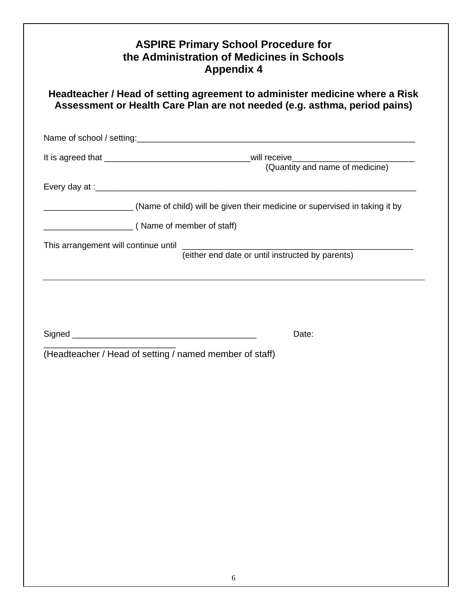| Headteacher / Head of setting agreement to administer medicine where a Risk<br>Assessment or Health Care Plan are not needed (e.g. asthma, period pains) |                                                                            |  |
|----------------------------------------------------------------------------------------------------------------------------------------------------------|----------------------------------------------------------------------------|--|
|                                                                                                                                                          |                                                                            |  |
|                                                                                                                                                          |                                                                            |  |
|                                                                                                                                                          | (Name of child) will be given their medicine or supervised in taking it by |  |
|                                                                                                                                                          |                                                                            |  |
|                                                                                                                                                          | (Name of member of staff)                                                  |  |
|                                                                                                                                                          | (either end date or until instructed by parents)                           |  |
|                                                                                                                                                          |                                                                            |  |
|                                                                                                                                                          |                                                                            |  |
|                                                                                                                                                          |                                                                            |  |
|                                                                                                                                                          | Date:                                                                      |  |
|                                                                                                                                                          | (Headteacher / Head of setting / named member of staff)                    |  |
|                                                                                                                                                          |                                                                            |  |
|                                                                                                                                                          |                                                                            |  |
|                                                                                                                                                          |                                                                            |  |
|                                                                                                                                                          |                                                                            |  |
|                                                                                                                                                          |                                                                            |  |
|                                                                                                                                                          |                                                                            |  |
|                                                                                                                                                          |                                                                            |  |
|                                                                                                                                                          |                                                                            |  |
|                                                                                                                                                          |                                                                            |  |
|                                                                                                                                                          |                                                                            |  |
|                                                                                                                                                          |                                                                            |  |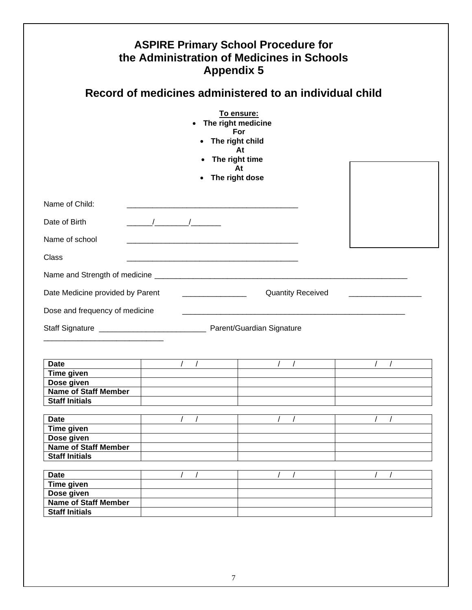| the Administration of Medicines in Schools<br><b>Appendix 5</b><br>Record of medicines administered to an individual child |                                                                                          |                          |  |  |
|----------------------------------------------------------------------------------------------------------------------------|------------------------------------------------------------------------------------------|--------------------------|--|--|
|                                                                                                                            | • The right medicine<br>For<br>• The right child<br>• The right time<br>• The right dose | To ensure:<br>At<br>At   |  |  |
| Name of Child:                                                                                                             |                                                                                          |                          |  |  |
| Date of Birth                                                                                                              | $\sqrt{2}$                                                                               |                          |  |  |
| Name of school                                                                                                             |                                                                                          |                          |  |  |
| Class                                                                                                                      |                                                                                          |                          |  |  |
|                                                                                                                            |                                                                                          |                          |  |  |
|                                                                                                                            |                                                                                          |                          |  |  |
| Date Medicine provided by Parent ___________________                                                                       |                                                                                          | <b>Quantity Received</b> |  |  |
| Dose and frequency of medicine                                                                                             |                                                                                          |                          |  |  |
|                                                                                                                            |                                                                                          |                          |  |  |
|                                                                                                                            |                                                                                          |                          |  |  |
|                                                                                                                            |                                                                                          |                          |  |  |
|                                                                                                                            |                                                                                          |                          |  |  |
| <b>Date</b><br>Time given                                                                                                  |                                                                                          |                          |  |  |
| Dose given                                                                                                                 |                                                                                          |                          |  |  |
| <b>Name of Staff Member</b><br><b>Staff Initials</b>                                                                       |                                                                                          |                          |  |  |
|                                                                                                                            |                                                                                          |                          |  |  |
| <b>Date</b>                                                                                                                |                                                                                          |                          |  |  |
| Time given                                                                                                                 |                                                                                          |                          |  |  |
| Dose given<br><b>Name of Staff Member</b>                                                                                  |                                                                                          |                          |  |  |
| <b>Staff Initials</b>                                                                                                      |                                                                                          |                          |  |  |
| <b>Date</b>                                                                                                                |                                                                                          |                          |  |  |
| <b>Time given</b>                                                                                                          |                                                                                          |                          |  |  |
| Dose given<br><b>Name of Staff Member</b>                                                                                  |                                                                                          |                          |  |  |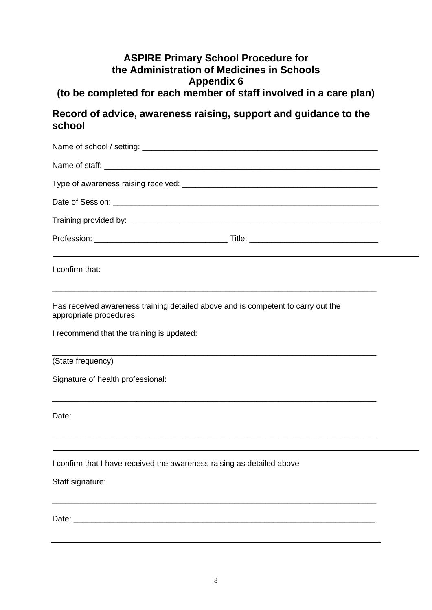# **(to be completed for each member of staff involved in a care plan)**

### **Record of advice, awareness raising, support and guidance to the school**

| I confirm that:                                                                                                  |  |
|------------------------------------------------------------------------------------------------------------------|--|
| Has received awareness training detailed above and is competent to carry out the<br>appropriate procedures       |  |
| I recommend that the training is updated:                                                                        |  |
| (State frequency)                                                                                                |  |
| Signature of health professional:                                                                                |  |
| Date:                                                                                                            |  |
| and the control of the control of the control of the control of the control of the control of the control of the |  |
| I confirm that I have received the awareness raising as detailed above<br>Staff signature:                       |  |
|                                                                                                                  |  |
|                                                                                                                  |  |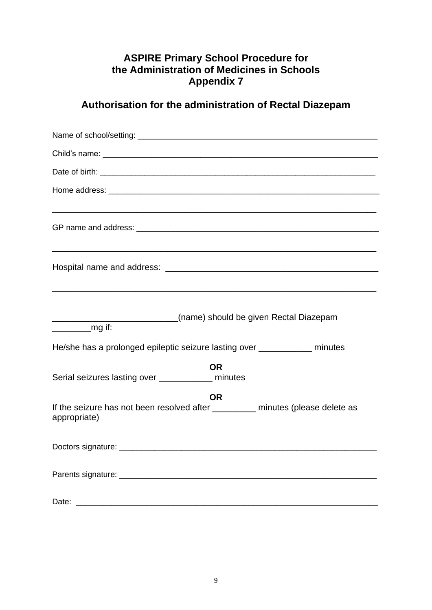# **Authorisation for the administration of Rectal Diazepam**

| (name) should be given Rectal Diazepam                                                                      |
|-------------------------------------------------------------------------------------------------------------|
| $\frac{1}{\sqrt{2}}$ mg if:                                                                                 |
| He/she has a prolonged epileptic seizure lasting over ___________ minutes                                   |
| <b>OR</b><br>Serial seizures lasting over _____________ minutes                                             |
| <b>OR</b><br>If the seizure has not been resolved after _________ minutes (please delete as<br>appropriate) |
|                                                                                                             |
|                                                                                                             |
|                                                                                                             |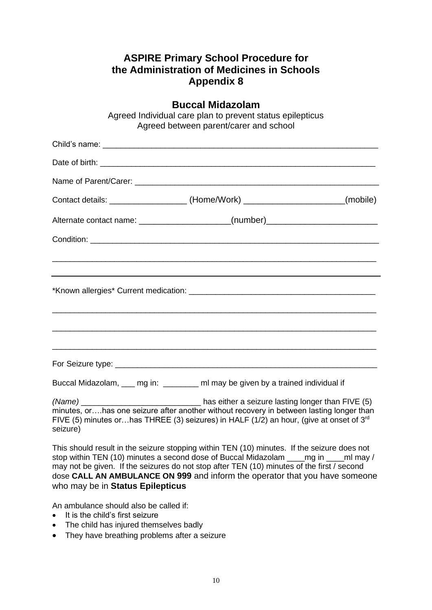| <b>Buccal Midazolam</b><br>Agreed Individual care plan to prevent status epilepticus<br>Agreed between parent/carer and school                                                                                                                                                       |  |  |  |
|--------------------------------------------------------------------------------------------------------------------------------------------------------------------------------------------------------------------------------------------------------------------------------------|--|--|--|
|                                                                                                                                                                                                                                                                                      |  |  |  |
|                                                                                                                                                                                                                                                                                      |  |  |  |
|                                                                                                                                                                                                                                                                                      |  |  |  |
| Contact details: _______________________(Home/Work) ________________________(mobile)                                                                                                                                                                                                 |  |  |  |
| Alternate contact name: _____________________(number)___________________________                                                                                                                                                                                                     |  |  |  |
|                                                                                                                                                                                                                                                                                      |  |  |  |
|                                                                                                                                                                                                                                                                                      |  |  |  |
| Buccal Midazolam, ___ mg in: _______ ml may be given by a trained individual if                                                                                                                                                                                                      |  |  |  |
| minutes, orhas one seizure after another without recovery in between lasting longer than<br>FIVE (5) minutes orhas THREE (3) seizures) in HALF (1/2) an hour, (give at onset of $3^{rd}$<br>seizure)                                                                                 |  |  |  |
| This should result in the seizure stopping within TEN (10) minutes. If the seizure does not<br>stop within TEN (10) minutes a second dose of Buccal Midazolam _____ mg in _____ ml may /<br>mouved be given. If the esignese depart step ofter TEN (40) minutes of the first (second |  |  |  |

may not be given. If the seizures do not stop after TEN (10) minutes of the first / second dose **CALL AN AMBULANCE ON 999** and inform the operator that you have someone who may be in **Status Epilepticus**

An ambulance should also be called if:

- It is the child's first seizure
- The child has injured themselves badly
- They have breathing problems after a seizure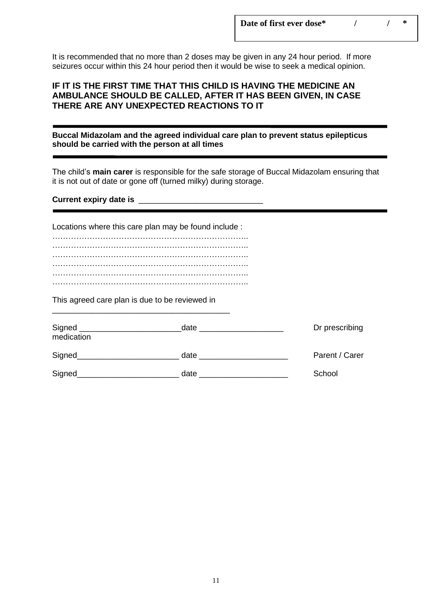It is recommended that no more than 2 doses may be given in any 24 hour period. If more seizures occur within this 24 hour period then it would be wise to seek a medical opinion.

#### **IF IT IS THE FIRST TIME THAT THIS CHILD IS HAVING THE MEDICINE AN AMBULANCE SHOULD BE CALLED, AFTER IT HAS BEEN GIVEN, IN CASE THERE ARE ANY UNEXPECTED REACTIONS TO IT**

**Buccal Midazolam and the agreed individual care plan to prevent status epilepticus should be carried with the person at all times**

The child's **main carer** is responsible for the safe storage of Buccal Midazolam ensuring that it is not out of date or gone off (turned milky) during storage.

**Current expiry date is** \_\_\_\_\_\_\_\_\_\_\_\_\_\_\_\_\_\_\_\_\_\_\_\_\_\_\_\_

Locations where this care plan may be found include : ……………………………………………………………….. ……………………………………………………………….. ……………………………………………………………….. ……………………………………………………………….. ……………………………………………………………….. ………………………………………………………………..

This agreed care plan is due to be reviewed in

\_\_\_\_\_\_\_\_\_\_\_\_\_\_\_\_\_\_\_\_\_\_\_\_\_\_\_\_\_\_\_\_\_\_\_\_\_\_\_\_

| Signed<br>medication | date | Dr prescribing |
|----------------------|------|----------------|
| Signed               | date | Parent / Carer |
| Signed               | date | School         |